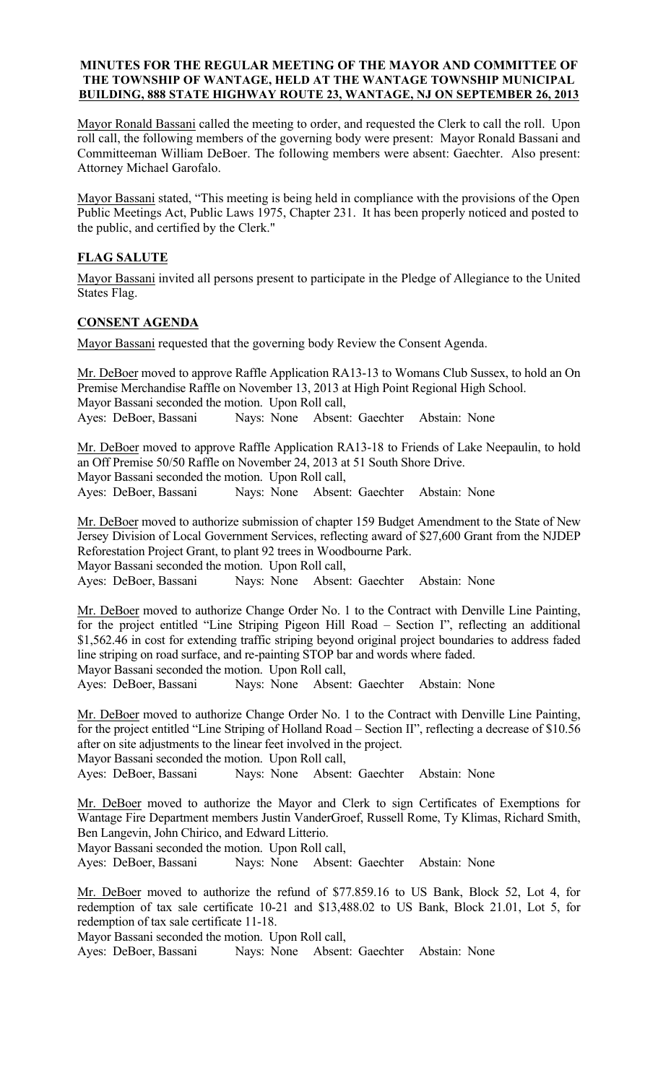### MINUTES FOR THE REGULAR MEETING OF THE MAYOR AND COMMITTEE OF THE TOWNSHIP OF WANTAGE, HELD AT THE WANTAGE TOWNSHIP MUNICIPAL BUILDING, 888 STATE HIGHWAY ROUTE 23, WANTAGE, NJ ON SEPTEMBER 26, 2013

Mayor Ronald Bassani called the meeting to order, and requested the Clerk to call the roll. Upon roll call, the following members of the governing body were present: Mayor Ronald Bassani and Committeeman William DeBoer. The following members were absent: Gaechter. Also present: Attorney Michael Garofalo.

Mayor Bassani stated, "This meeting is being held in compliance with the provisions of the Open Public Meetings Act, Public Laws 1975, Chapter 231. It has been properly noticed and posted to the public, and certified by the Clerk."

# FLAG SALUTE

Mayor Bassani invited all persons present to participate in the Pledge of Allegiance to the United States Flag.

### CONSENT AGENDA

Mayor Bassani requested that the governing body Review the Consent Agenda.

Mr. DeBoer moved to approve Raffle Application RA13-13 to Womans Club Sussex, to hold an On Premise Merchandise Raffle on November 13, 2013 at High Point Regional High School. Mayor Bassani seconded the motion. Upon Roll call, Ayes: DeBoer, Bassani Nays: None Absent: Gaechter Abstain: None

Mr. DeBoer moved to approve Raffle Application RA13-18 to Friends of Lake Neepaulin, to hold an Off Premise 50/50 Raffle on November 24, 2013 at 51 South Shore Drive. Mayor Bassani seconded the motion. Upon Roll call,

Ayes: DeBoer, Bassani Nays: None Absent: Gaechter Abstain: None

Mr. DeBoer moved to authorize submission of chapter 159 Budget Amendment to the State of New Jersey Division of Local Government Services, reflecting award of \$27,600 Grant from the NJDEP Reforestation Project Grant, to plant 92 trees in Woodbourne Park.

Mayor Bassani seconded the motion. Upon Roll call,

Ayes: DeBoer, Bassani Nays: None Absent: Gaechter Abstain: None

Mr. DeBoer moved to authorize Change Order No. 1 to the Contract with Denville Line Painting, for the project entitled "Line Striping Pigeon Hill Road – Section I", reflecting an additional \$1,562.46 in cost for extending traffic striping beyond original project boundaries to address faded line striping on road surface, and re-painting STOP bar and words where faded.

Mayor Bassani seconded the motion. Upon Roll call,

Ayes: DeBoer, Bassani Nays: None Absent: Gaechter Abstain: None

Mr. DeBoer moved to authorize Change Order No. 1 to the Contract with Denville Line Painting, for the project entitled "Line Striping of Holland Road – Section II", reflecting a decrease of \$10.56 after on site adjustments to the linear feet involved in the project.

Mayor Bassani seconded the motion. Upon Roll call,

Ayes: DeBoer, Bassani Nays: None Absent: Gaechter Abstain: None

Mr. DeBoer moved to authorize the Mayor and Clerk to sign Certificates of Exemptions for Wantage Fire Department members Justin VanderGroef, Russell Rome, Ty Klimas, Richard Smith, Ben Langevin, John Chirico, and Edward Litterio.

Mayor Bassani seconded the motion. Upon Roll call,

Ayes: DeBoer, Bassani Nays: None Absent: Gaechter Abstain: None

Mr. DeBoer moved to authorize the refund of \$77.859.16 to US Bank, Block 52, Lot 4, for redemption of tax sale certificate 10-21 and \$13,488.02 to US Bank, Block 21.01, Lot 5, for redemption of tax sale certificate 11-18.

Mayor Bassani seconded the motion. Upon Roll call,

Ayes: DeBoer, Bassani Nays: None Absent: Gaechter Abstain: None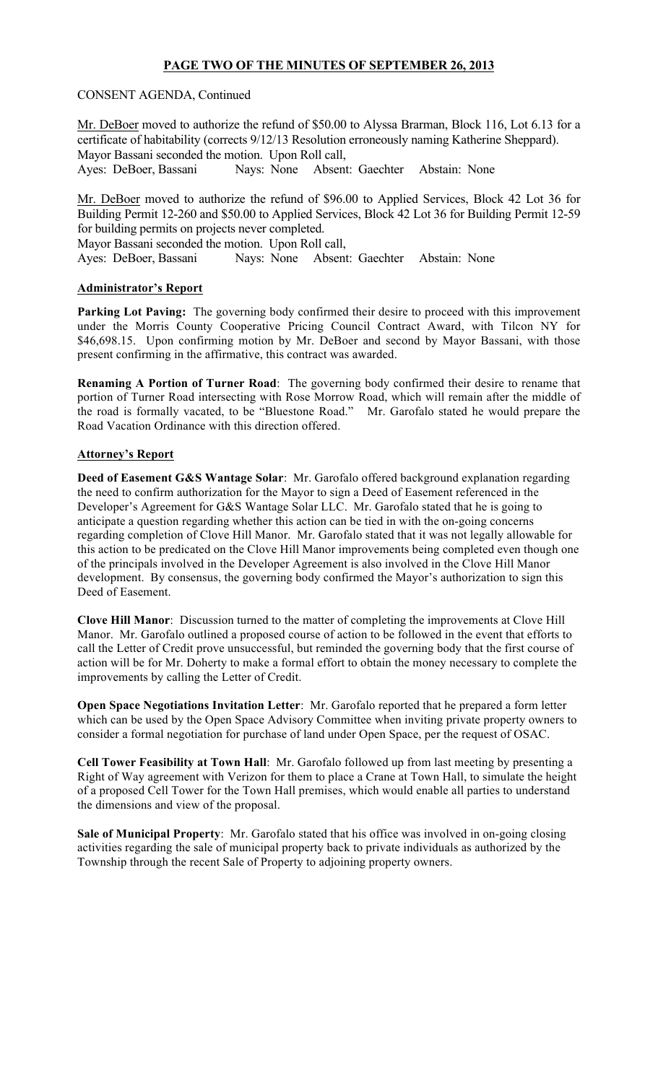# PAGE TWO OF THE MINUTES OF SEPTEMBER 26, 2013

### CONSENT AGENDA, Continued

Mr. DeBoer moved to authorize the refund of \$50.00 to Alyssa Brarman, Block 116, Lot 6.13 for a certificate of habitability (corrects 9/12/13 Resolution erroneously naming Katherine Sheppard). Mayor Bassani seconded the motion. Upon Roll call, Ayes: DeBoer, Bassani Nays: None Absent: Gaechter Abstain: None

Mr. DeBoer moved to authorize the refund of \$96.00 to Applied Services, Block 42 Lot 36 for Building Permit 12-260 and \$50.00 to Applied Services, Block 42 Lot 36 for Building Permit 12-59 for building permits on projects never completed.

Mayor Bassani seconded the motion. Upon Roll call,

Ayes: DeBoer, Bassani Nays: None Absent: Gaechter Abstain: None

### Administrator's Report

Parking Lot Paving: The governing body confirmed their desire to proceed with this improvement under the Morris County Cooperative Pricing Council Contract Award, with Tilcon NY for \$46,698.15. Upon confirming motion by Mr. DeBoer and second by Mayor Bassani, with those present confirming in the affirmative, this contract was awarded.

Renaming A Portion of Turner Road: The governing body confirmed their desire to rename that portion of Turner Road intersecting with Rose Morrow Road, which will remain after the middle of the road is formally vacated, to be "Bluestone Road." Mr. Garofalo stated he would prepare the Road Vacation Ordinance with this direction offered.

### Attorney's Report

Deed of Easement G&S Wantage Solar: Mr. Garofalo offered background explanation regarding the need to confirm authorization for the Mayor to sign a Deed of Easement referenced in the Developer's Agreement for G&S Wantage Solar LLC. Mr. Garofalo stated that he is going to anticipate a question regarding whether this action can be tied in with the on-going concerns regarding completion of Clove Hill Manor. Mr. Garofalo stated that it was not legally allowable for this action to be predicated on the Clove Hill Manor improvements being completed even though one of the principals involved in the Developer Agreement is also involved in the Clove Hill Manor development. By consensus, the governing body confirmed the Mayor's authorization to sign this Deed of Easement.

Clove Hill Manor: Discussion turned to the matter of completing the improvements at Clove Hill Manor. Mr. Garofalo outlined a proposed course of action to be followed in the event that efforts to call the Letter of Credit prove unsuccessful, but reminded the governing body that the first course of action will be for Mr. Doherty to make a formal effort to obtain the money necessary to complete the improvements by calling the Letter of Credit.

Open Space Negotiations Invitation Letter: Mr. Garofalo reported that he prepared a form letter which can be used by the Open Space Advisory Committee when inviting private property owners to consider a formal negotiation for purchase of land under Open Space, per the request of OSAC.

Cell Tower Feasibility at Town Hall: Mr. Garofalo followed up from last meeting by presenting a Right of Way agreement with Verizon for them to place a Crane at Town Hall, to simulate the height of a proposed Cell Tower for the Town Hall premises, which would enable all parties to understand the dimensions and view of the proposal.

Sale of Municipal Property: Mr. Garofalo stated that his office was involved in on-going closing activities regarding the sale of municipal property back to private individuals as authorized by the Township through the recent Sale of Property to adjoining property owners.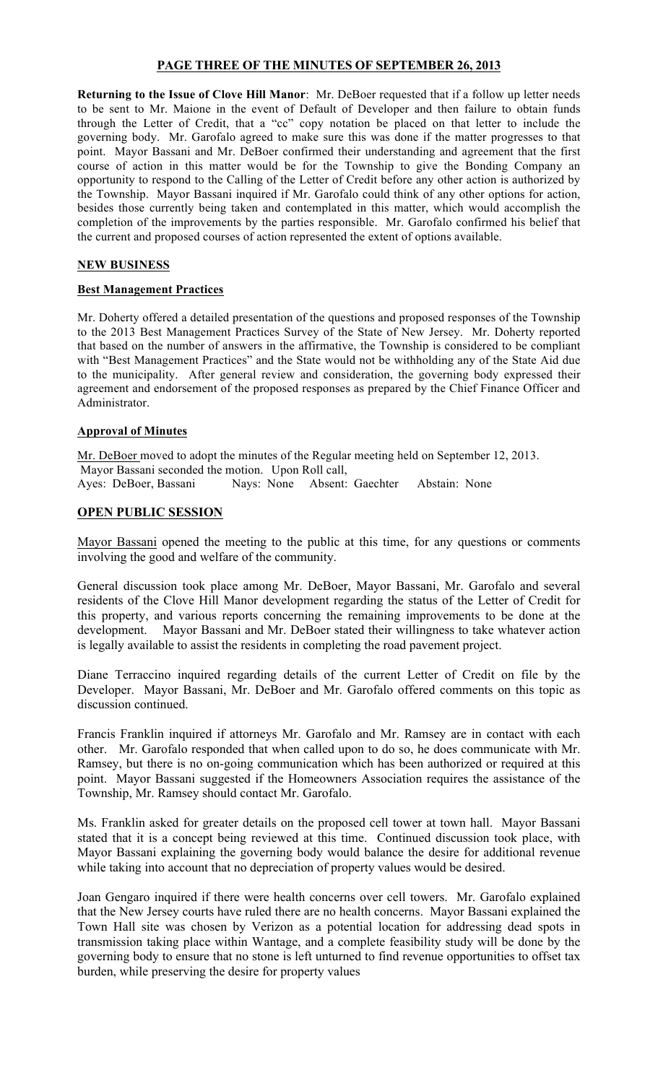### PAGE THREE OF THE MINUTES OF SEPTEMBER 26, 2013

Returning to the Issue of Clove Hill Manor: Mr. DeBoer requested that if a follow up letter needs to be sent to Mr. Maione in the event of Default of Developer and then failure to obtain funds through the Letter of Credit, that a "cc" copy notation be placed on that letter to include the governing body. Mr. Garofalo agreed to make sure this was done if the matter progresses to that point. Mayor Bassani and Mr. DeBoer confirmed their understanding and agreement that the first course of action in this matter would be for the Township to give the Bonding Company an opportunity to respond to the Calling of the Letter of Credit before any other action is authorized by the Township. Mayor Bassani inquired if Mr. Garofalo could think of any other options for action, besides those currently being taken and contemplated in this matter, which would accomplish the completion of the improvements by the parties responsible. Mr. Garofalo confirmed his belief that the current and proposed courses of action represented the extent of options available.

### NEW BUSINESS

#### Best Management Practices

Mr. Doherty offered a detailed presentation of the questions and proposed responses of the Township to the 2013 Best Management Practices Survey of the State of New Jersey. Mr. Doherty reported that based on the number of answers in the affirmative, the Township is considered to be compliant with "Best Management Practices" and the State would not be withholding any of the State Aid due to the municipality. After general review and consideration, the governing body expressed their agreement and endorsement of the proposed responses as prepared by the Chief Finance Officer and Administrator.

#### Approval of Minutes

Mr. DeBoer moved to adopt the minutes of the Regular meeting held on September 12, 2013. Mayor Bassani seconded the motion. Upon Roll call, Ayes: DeBoer, Bassani Nays: None Absent: Gaechter Abstain: None

#### OPEN PUBLIC SESSION

Mayor Bassani opened the meeting to the public at this time, for any questions or comments involving the good and welfare of the community.

General discussion took place among Mr. DeBoer, Mayor Bassani, Mr. Garofalo and several residents of the Clove Hill Manor development regarding the status of the Letter of Credit for this property, and various reports concerning the remaining improvements to be done at the development. Mayor Bassani and Mr. DeBoer stated their willingness to take whatever action is legally available to assist the residents in completing the road pavement project.

Diane Terraccino inquired regarding details of the current Letter of Credit on file by the Developer. Mayor Bassani, Mr. DeBoer and Mr. Garofalo offered comments on this topic as discussion continued.

Francis Franklin inquired if attorneys Mr. Garofalo and Mr. Ramsey are in contact with each other. Mr. Garofalo responded that when called upon to do so, he does communicate with Mr. Ramsey, but there is no on-going communication which has been authorized or required at this point. Mayor Bassani suggested if the Homeowners Association requires the assistance of the Township, Mr. Ramsey should contact Mr. Garofalo.

Ms. Franklin asked for greater details on the proposed cell tower at town hall. Mayor Bassani stated that it is a concept being reviewed at this time. Continued discussion took place, with Mayor Bassani explaining the governing body would balance the desire for additional revenue while taking into account that no depreciation of property values would be desired.

Joan Gengaro inquired if there were health concerns over cell towers. Mr. Garofalo explained that the New Jersey courts have ruled there are no health concerns. Mayor Bassani explained the Town Hall site was chosen by Verizon as a potential location for addressing dead spots in transmission taking place within Wantage, and a complete feasibility study will be done by the governing body to ensure that no stone is left unturned to find revenue opportunities to offset tax burden, while preserving the desire for property values